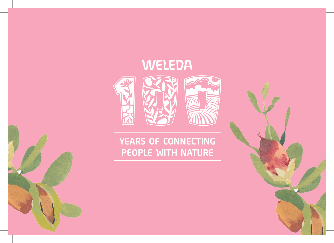

### YEARS OF CONNECTING PEOPLE WITH NATURE